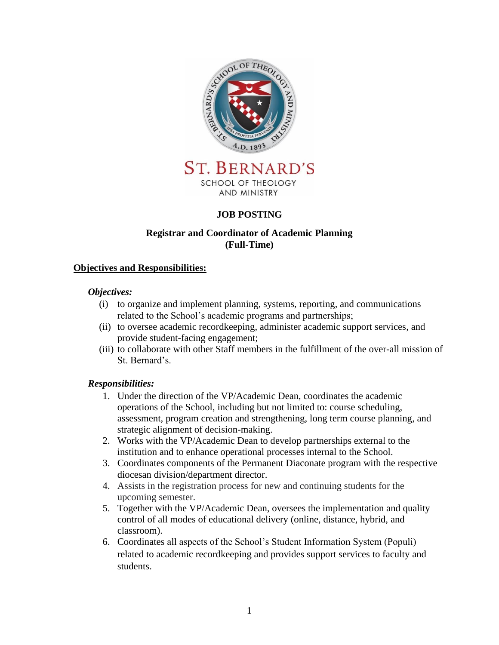

**ST. BERNARD'S** SCHOOL OF THEOLOGY AND MINISTRY

### **JOB POSTING**

### **Registrar and Coordinator of Academic Planning (Full-Time)**

#### **Objectives and Responsibilities:**

#### *Objectives:*

- (i) to organize and implement planning, systems, reporting, and communications related to the School's academic programs and partnerships;
- (ii) to oversee academic recordkeeping, administer academic support services, and provide student-facing engagement;
- (iii) to collaborate with other Staff members in the fulfillment of the over-all mission of St. Bernard's.

#### *Responsibilities:*

- 1. Under the direction of the VP/Academic Dean, coordinates the academic operations of the School, including but not limited to: course scheduling, assessment, program creation and strengthening, long term course planning, and strategic alignment of decision-making.
- 2. Works with the VP/Academic Dean to develop partnerships external to the institution and to enhance operational processes internal to the School.
- 3. Coordinates components of the Permanent Diaconate program with the respective diocesan division/department director.
- 4. Assists in the registration process for new and continuing students for the upcoming semester.
- 5. Together with the VP/Academic Dean, oversees the implementation and quality control of all modes of educational delivery (online, distance, hybrid, and classroom).
- 6. Coordinates all aspects of the School's Student Information System (Populi) related to academic recordkeeping and provides support services to faculty and students.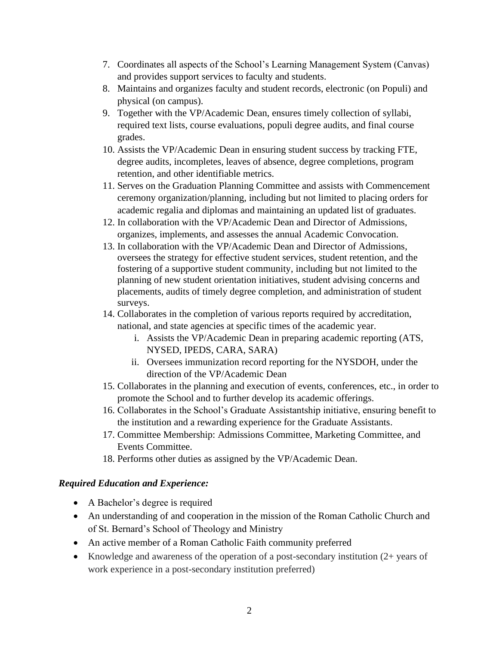- 7. Coordinates all aspects of the School's Learning Management System (Canvas) and provides support services to faculty and students.
- 8. Maintains and organizes faculty and student records, electronic (on Populi) and physical (on campus).
- 9. Together with the VP/Academic Dean, ensures timely collection of syllabi, required text lists, course evaluations, populi degree audits, and final course grades.
- 10. Assists the VP/Academic Dean in ensuring student success by tracking FTE, degree audits, incompletes, leaves of absence, degree completions, program retention, and other identifiable metrics.
- 11. Serves on the Graduation Planning Committee and assists with Commencement ceremony organization/planning, including but not limited to placing orders for academic regalia and diplomas and maintaining an updated list of graduates.
- 12. In collaboration with the VP/Academic Dean and Director of Admissions, organizes, implements, and assesses the annual Academic Convocation.
- 13. In collaboration with the VP/Academic Dean and Director of Admissions, oversees the strategy for effective student services, student retention, and the fostering of a supportive student community, including but not limited to the planning of new student orientation initiatives, student advising concerns and placements, audits of timely degree completion, and administration of student surveys.
- 14. Collaborates in the completion of various reports required by accreditation, national, and state agencies at specific times of the academic year.
	- i. Assists the VP/Academic Dean in preparing academic reporting (ATS, NYSED, IPEDS, CARA, SARA)
	- ii. Oversees immunization record reporting for the NYSDOH, under the direction of the VP/Academic Dean
- 15. Collaborates in the planning and execution of events, conferences, etc., in order to promote the School and to further develop its academic offerings.
- 16. Collaborates in the School's Graduate Assistantship initiative, ensuring benefit to the institution and a rewarding experience for the Graduate Assistants.
- 17. Committee Membership: Admissions Committee, Marketing Committee, and Events Committee.
- 18. Performs other duties as assigned by the VP/Academic Dean.

### *Required Education and Experience:*

- A Bachelor's degree is required
- An understanding of and cooperation in the mission of the Roman Catholic Church and of St. Bernard's School of Theology and Ministry
- An active member of a Roman Catholic Faith community preferred
- Knowledge and awareness of the operation of a post-secondary institution  $(2 + \text{years of})$ work experience in a post-secondary institution preferred)